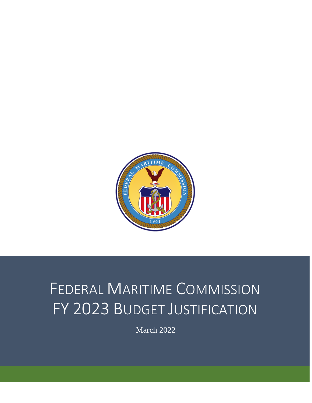

# FEDERAL MARITIME COMMISSION FY 2023 BUDGET JUSTIFICATION

March 2022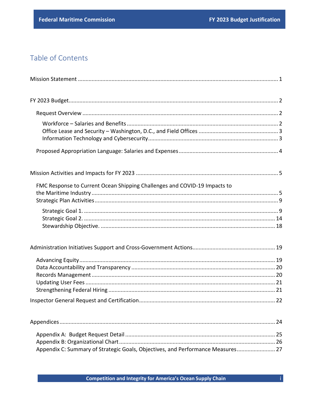$\mathbf{I}$ 

# Table of Contents

| FMC Response to Current Ocean Shipping Challenges and COVID-19 Impacts to       |
|---------------------------------------------------------------------------------|
|                                                                                 |
|                                                                                 |
|                                                                                 |
|                                                                                 |
|                                                                                 |
| Appendix C: Summary of Strategic Goals, Objectives, and Performance Measures 27 |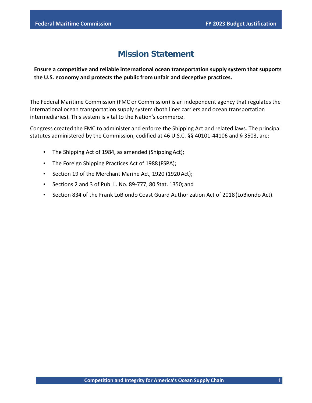# **Mission Statement**

<span id="page-2-0"></span>**Ensure a competitive and reliable international ocean transportation supply system that supports the U.S. economy and protects the public from unfair and deceptive practices.**

The Federal Maritime Commission (FMC or Commission) is an independent agency that regulates the international ocean transportation supply system (both liner carriers and ocean transportation intermediaries). This system is vital to the Nation's commerce.

Congress created the FMC to administer and enforce the Shipping Act and related laws. The principal statutes administered by the Commission, codified at 46 U.S.C. §§ 40101-44106 and § 3503, are:

- The Shipping Act of 1984, as amended (ShippingAct);
- The Foreign Shipping Practices Act of 1988(FSPA);
- Section 19 of the Merchant Marine Act, 1920 (1920Act);
- Sections 2 and 3 of Pub. L. No. 89-777, 80 Stat. 1350; and
- Section 834 of the Frank LoBiondo Coast Guard Authorization Act of 2018(LoBiondo Act).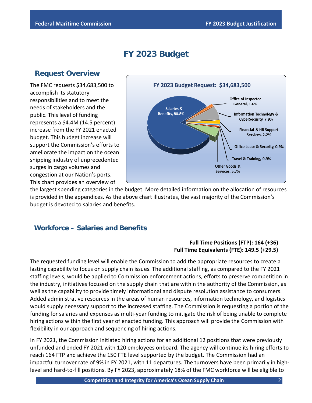# **FY 2023 Budget**

## <span id="page-3-0"></span>**Request Overview**

<span id="page-3-1"></span>The FMC requests \$34,683,500 to accomplish its statutory responsibilities and to meet the needs of stakeholders and the public. This level of funding represents a \$4.4M (14.5 percent) increase from the FY 2021 enacted budget. This budget increase will support the Commission's efforts to ameliorate the impact on the ocean shipping industry of unprecedented surges in cargo volumes and congestion at our Nation's ports. This chart provides an overview of



the largest spending categories in the budget. More detailed information on the allocation of resources is provided in the appendices. As the above chart illustrates, the vast majority of the Commission's budget is devoted to salaries and benefits.

## <span id="page-3-2"></span>**Workforce – Salaries and Benefits**

#### **Full Time Positions (FTP): 164 (+36) Full Time Equivalents (FTE): 149.5 (+29.5)**

The requested funding level will enable the Commission to add the appropriate resources to create a lasting capability to focus on supply chain issues. The additional staffing, as compared to the FY 2021 staffing levels, would be applied to Commission enforcement actions, efforts to preserve competition in the industry, initiatives focused on the supply chain that are within the authority of the Commission, as well as the capability to provide timely informational and dispute resolution assistance to consumers. Added administrative resources in the areas of human resources, information technology, and logistics would supply necessary support to the increased staffing. The Commission is requesting a portion of the funding for salaries and expenses as multi-year funding to mitigate the risk of being unable to complete hiring actions within the first year of enacted funding. This approach will provide the Commission with flexibility in our approach and sequencing of hiring actions.

In FY 2021, the Commission initiated hiring actions for an additional 12 positions that were previously unfunded and ended FY 2021 with 120 employees onboard. The agency will continue its hiring efforts to reach 164 FTP and achieve the 150 FTE level supported by the budget. The Commission had an impactful turnover rate of 9% in FY 2021, with 11 departures. The turnovers have been primarily in highlevel and hard-to-fill positions. By FY 2023, approximately 18% of the FMC workforce will be eligible to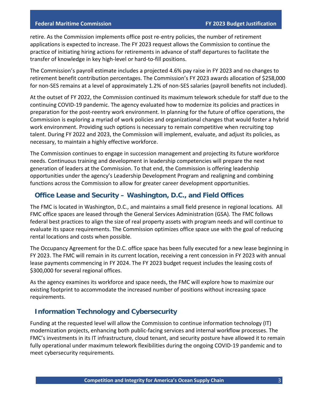retire. As the Commission implements office post re-entry policies, the number of retirement applications is expected to increase. The FY 2023 request allows the Commission to continue the practice of initiating hiring actions for retirements in advance of staff departures to facilitate the transfer of knowledge in key high-level or hard-to-fill positions.

The Commission's payroll estimate includes a projected 4.6% pay raise in FY 2023 and no changes to retirement benefit contribution percentages. The Commission's FY 2023 awards allocation of \$258,000 for non-SES remains at a level of approximately 1.2% of non-SES salaries (payroll benefits not included).

At the outset of FY 2022, the Commission continued its maximum telework schedule for staff due to the continuing COVID-19 pandemic. The agency evaluated how to modernize its policies and practices in preparation for the post-reentry work environment. In planning for the future of office operations, the Commission is exploring a myriad of work policies and organizational changes that would foster a hybrid work environment. Providing such options is necessary to remain competitive when recruiting top talent. During FY 2022 and 2023, the Commission will implement, evaluate, and adjust its policies, as necessary, to maintain a highly effective workforce.

The Commission continues to engage in succession management and projecting its future workforce needs. Continuous training and development in leadership competencies will prepare the next generation of leaders at the Commission. To that end, the Commission is offering leadership opportunities under the agency's Leadership Development Program and realigning and combining functions across the Commission to allow for greater career development opportunities.

#### <span id="page-4-0"></span>**Office Lease and Security – Washington, D.C., and Field Offices**

The FMC is located in Washington, D.C., and maintains a small field presence in regional locations. All FMC office spaces are leased through the General Services Administration (GSA). The FMC follows federal best practices to align the size of real property assets with program needs and will continue to evaluate its space requirements. The Commission optimizes office space use with the goal of reducing rental locations and costs when possible.

The Occupancy Agreement for the D.C. office space has been fully executed for a new lease beginning in FY 2023. The FMC will remain in its current location, receiving a rent concession in FY 2023 with annual lease payments commencing in FY 2024. The FY 2023 budget request includes the leasing costs of \$300,000 for several regional offices.

As the agency examines its workforce and space needs, the FMC will explore how to maximize our existing footprint to accommodate the increased number of positions without increasing space requirements.

#### <span id="page-4-1"></span>**Information Technology and Cybersecurity**

Funding at the requested level will allow the Commission to continue information technology (IT) modernization projects, enhancing both public-facing services and internal workflow processes. The FMC's investments in its IT infrastructure, cloud tenant, and security posture have allowed it to remain fully operational under maximum telework flexibilities during the ongoing COVID-19 pandemic and to meet cybersecurity requirements.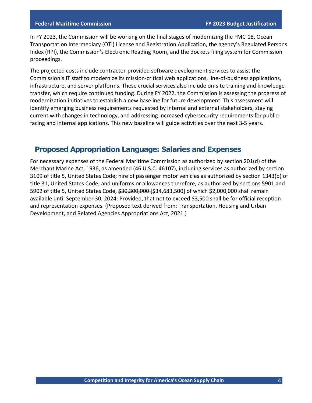In FY 2023, the Commission will be working on the final stages of modernizing the FMC-18, Ocean Transportation Intermediary (OTI) License and Registration Application, the agency's Regulated Persons Index (RPI), the Commission's Electronic Reading Room, and the dockets filing system for Commission proceedings.

The projected costs include contractor-provided software development services to assist the Commission's IT staff to modernize its mission-critical web applications, line-of-business applications, infrastructure, and server platforms. These crucial services also include on-site training and knowledge transfer, which require continued funding. During FY 2022, the Commission is assessing the progress of modernization initiatives to establish a new baseline for future development. This assessment will identify emerging business requirements requested by internal and external stakeholders, staying current with changes in technology, and addressing increased cybersecurity requirements for publicfacing and internal applications. This new baseline will guide activities over the next 3-5 years.

## <span id="page-5-0"></span>**Proposed Appropriation Language: Salaries and Expenses**

For necessary expenses of the Federal Maritime Commission as authorized by section 201(d) of the Merchant Marine Act, 1936, as amended (46 U.S.C. 46107), including services as authorized by section 3109 of title 5, United States Code; hire of passenger motor vehicles as authorized by section 1343(b) of title 31, United States Code; and uniforms or allowances therefore, as authorized by sections 5901 and 5902 of title 5, United States Code, \$30,300,000 [\$34,683,500] of which \$2,000,000 shall remain available until September 30, 2024: Provided, that not to exceed \$3,500 shall be for official reception and representation expenses. (Proposed text derived from: Transportation, Housing and Urban Development, and Related Agencies Appropriations Act, 2021.)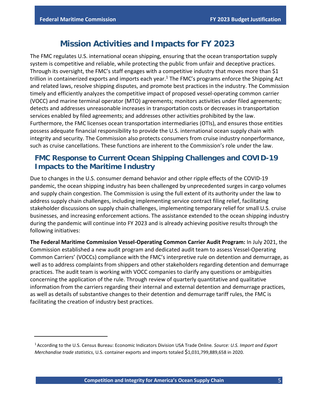# **Mission Activities and Impacts for FY 2023**

<span id="page-6-0"></span>The FMC regulates U.S. international ocean shipping, ensuring that the ocean transportation supply system is competitive and reliable, while protecting the public from unfair and deceptive practices. Through its oversight, the FMC's staff engages with a competitive industry that moves more than \$1 trillion in containerized exports and imports each year. <sup>1</sup> The FMC's programs enforce the Shipping Act and related laws, resolve shipping disputes, and promote best practices in the industry. The Commission timely and efficiently analyzes the competitive impact of proposed vessel-operating common carrier (VOCC) and marine terminal operator (MTO) agreements; monitors activities under filed agreements; detects and addresses unreasonable increases in transportation costs or decreases in transportation services enabled by filed agreements; and addresses other activities prohibited by the law. Furthermore, the FMC licenses ocean transportation intermediaries (OTIs), and ensures those entities possess adequate financial responsibility to provide the U.S. international ocean supply chain with integrity and security. The Commission also protects consumers from cruise industry nonperformance, such as cruise cancellations. These functions are inherent to the Commission's role under the law.

## <span id="page-6-1"></span>**FMC Response to Current Ocean Shipping Challenges and COVID-19 Impacts to the Maritime Industry**

Due to changes in the U.S. consumer demand behavior and other ripple effects of the COVID-19 pandemic, the ocean shipping industry has been challenged by unprecedented surges in cargo volumes and supply chain congestion. The Commission is using the full extent of its authority under the law to address supply chain challenges, including implementing service contract filing relief, facilitating stakeholder discussions on supply chain challenges, implementing temporary relief for small U.S. cruise businesses, and increasing enforcement actions. The assistance extended to the ocean shipping industry during the pandemic will continue into FY 2023 and is already achieving positive results through the following initiatives:

**The Federal Maritime Commission Vessel-Operating Common Carrier Audit Program:** In July 2021, the Commission established a new audit program and dedicated audit team to assess Vessel-Operating Common Carriers' (VOCCs) compliance with the FMC's interpretive rule on detention and demurrage, as well as to address complaints from shippers and other stakeholders regarding detention and demurrage practices. The audit team is working with VOCC companies to clarify any questions or ambiguities concerning the application of the rule. Through review of quarterly quantitative and qualitative information from the carriers regarding their internal and external detention and demurrage practices, as well as details of substantive changes to their detention and demurrage tariff rules, the FMC is facilitating the creation of industry best practices.

<sup>1</sup> According to the U.S. Census Bureau: Economic Indicators Division USA Trade Online*. Source: U.S. Import and Export Merchandise trade statistics*, U.S. container exports and imports totaled \$1,031,799,889,658 in 2020.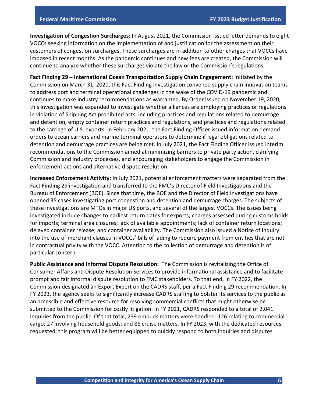**Investigation of Congestion Surcharges:** In August 2021, the Commission issued letter demands to eight VOCCs seeking information on the implementation of and justification for the assessment on their customers of congestion surcharges. These surcharges are in addition to other charges that VOCCs have imposed in recent months. As the pandemic continues and new fees are created, the Commission will continue to analyze whether these surcharges violate the law or the Commission'sregulations.

**Fact Finding 29 – International Ocean Transportation Supply Chain Engagement:** Initiated by the Commission on March 31, 2020, this Fact Finding investigation convened supply chain innovation teams to address port and terminal operational challenges in the wake of the COVID-19 pandemic and continues to make industry recommendations as warranted. By Order issued on November 19, 2020, this investigation was expanded to investigate whether alliances are employing practices or regulations in violation of Shipping Act prohibited acts, including practices and regulations related to demurrage and detention, empty container return practices and regulations, and practices and regulations related to the carriage of U.S. exports. In February 2021, the Fact Finding Officer issued information demand orders to ocean carriers and marine terminal operators to determine if legal obligations related to detention and demurrage practices are being met. In July 2021, the Fact Finding Officer issued interim recommendations to the Commission aimed at minimizing barriers to private party action, clarifying Commission and industry processes, and encouraging stakeholders to engage the Commission in enforcement actions and alternative dispute resolution.

**Increased Enforcement Activity:** In July 2021, potential enforcement matters were separated from the Fact Finding 29 investigation and transferred to the FMC's Director of Field Investigations and the Bureau of Enforcement (BOE). Since that time, the BOE and the Director of Field Investigations have opened 35 cases investigating port congestion and detention and demurrage charges. The subjects of these investigations are MTOs in major US ports, and several of the largest VOCCs. The issues being investigated include changes to earliest return dates for exports; charges assessed during customs holds for imports; terminal area closures; lack of available appointments; lack of container return locations; delayed container release; and container availability. The Commission also issued a Notice of Inquiry into the use of merchant clauses in VOCCs' bills of lading to require payment from entities that are not in contractual privity with the VOCC. Attention to the collection of demurrage and detention is of particular concern.

**Public Assistance and Informal Dispute Resolution:** The Commission is revitalizing the Office of Consumer Affairs and Dispute Resolution Services to provide informational assistance and to facilitate prompt and fair informal dispute resolution to FMC stakeholders. To that end, in FY 2022, the Commission designated an Export Expert on the CADRS staff, per a Fact Finding 29 recommendation. In FY 2023, the agency seeks to significantly increase CADRS staffing to bolster its services to the public as an accessible and effective resource for resolving commercial conflicts that might otherwise be submitted to the Commission for costly litigation. In FY 2021, CADRS responded to a total of 2,041 inquiries from the public. Of that total, 239 ombuds matters were handled: 126 relating to commercial cargo; 27 involving household goods; and 86 cruise matters. In FY 2023, with the dedicated resources requested, this program will be better equipped to quickly respond to both inquiries and disputes.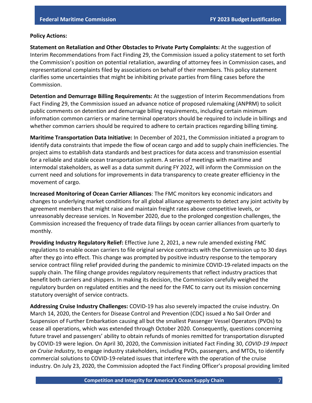#### **Policy Actions:**

**Statement on Retaliation and Other Obstacles to Private Party Complaints:** At the suggestion of Interim Recommendations from Fact Finding 29, the Commission issued a policy statement to set forth the Commission's position on potential retaliation, awarding of attorney fees in Commission cases, and representational complaints filed by associations on behalf of their members. This policy statement clarifies some uncertainties that might be inhibiting private parties from filing cases before the Commission.

**Detention and Demurrage Billing Requirements:** At the suggestion of Interim Recommendations from Fact Finding 29, the Commission issued an advance notice of proposed rulemaking (ANPRM) to solicit public comments on detention and demurrage billing requirements, including certain minimum information common carriers or marine terminal operators should be required to include in billings and whether common carriers should be required to adhere to certain practices regarding billing timing.

**Maritime Transportation Data Initiative:** In December of 2021, the Commission initiated a program to identify data constraints that impede the flow of ocean cargo and add to supply chain inefficiencies. The project aims to establish data standards and best practices for data access and transmission essential for a reliable and stable ocean transportation system. A series of meetings with maritime and intermodal stakeholders, as well as a data summit during FY 2022, will inform the Commission on the current need and solutions for improvements in data transparency to create greater efficiency in the movement of cargo.

**Increased Monitoring of Ocean Carrier Alliances**: The FMC monitors key economic indicators and changes to underlying market conditions for all global alliance agreements to detect any joint activity by agreement members that might raise and maintain freight rates above competitive levels, or unreasonably decrease services. In November 2020, due to the prolonged congestion challenges, the Commission increased the frequency of trade data filings by ocean carrier alliances from quarterly to monthly.

**Providing Industry Regulatory Relief:** Effective June 2, 2021, a new rule amended existing FMC regulations to enable ocean carriers to file original service contracts with the Commission up to 30 days after they go into effect. This change was prompted by positive industry response to the temporary service contract filing relief provided during the pandemic to minimize COVID-19-related impacts on the supply chain. The filing change provides regulatory requirements that reflect industry practices that benefit both carriers and shippers. In making its decision, the Commission carefully weighed the regulatory burden on regulated entities and the need for the FMC to carry out its mission concerning statutory oversight of service contracts.

**Addressing Cruise Industry Challenges:** COVID-19 has also severely impacted the cruise industry. On March 14, 2020, the Centers for Disease Control and Prevention (CDC) issued a No Sail Order and Suspension of Further Embarkation causing all but the smallest Passenger Vessel Operators (PVOs) to cease all operations, which was extended through October 2020. Consequently, questions concerning future travel and passengers' ability to obtain refunds of monies remitted for transportation disrupted by COVID-19 were legion. On April 30, 2020, the Commission initiated Fact Finding 30, *COVID-19 Impact on Cruise Industry*, to engage industry stakeholders, including PVOs, passengers, and MTOs, to identify commercial solutions to COVID-19-related issues that interfere with the operation of the cruise industry. On July 23, 2020, the Commission adopted the Fact Finding Officer's proposal providing limited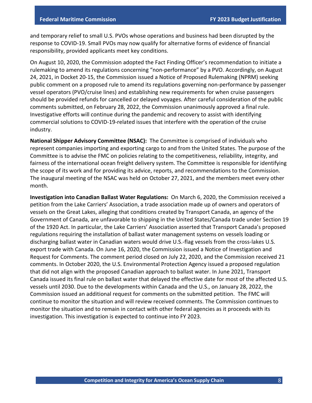and temporary relief to small U.S. PVOs whose operations and business had been disrupted by the response to COVID-19. Small PVOs may now qualify for alternative forms of evidence of financial responsibility, provided applicants meet key conditions.

On August 10, 2020, the Commission adopted the Fact Finding Officer's recommendation to initiate a rulemaking to amend its regulations concerning "non-performance" by a PVO. Accordingly, on August 24, 2021, in Docket 20-15, the Commission issued a Notice of Proposed Rulemaking (NPRM) seeking public comment on a proposed rule to amend its regulations governing non-performance by passenger vessel operators (PVO/cruise lines) and establishing new requirements for when cruise passengers should be provided refunds for cancelled or delayed voyages. After careful consideration of the public comments submitted, on February 28, 2022, the Commission unanimously approved a final rule. Investigative efforts will continue during the pandemic and recovery to assist with identifying commercial solutions to COVID-19-related issues that interfere with the operation of the cruise industry.

**National Shipper Advisory Committee (NSAC):** The Committee is comprised of individuals who represent companies importing and exporting cargo to and from the United States. The purpose of the Committee is to advise the FMC on policies relating to the competitiveness, reliability, integrity, and fairness of the international ocean freight delivery system. The Committee is responsible for identifying the scope of its work and for providing its advice, reports, and recommendations to the Commission. The inaugural meeting of the NSAC was held on October 27, 2021, and the members meet every other month.

**Investigation into Canadian Ballast Water Regulations:** On March 6, 2020, the Commission received a petition from the Lake Carriers' Association, a trade association made up of owners and operators of vessels on the Great Lakes, alleging that conditions created by Transport Canada, an agency of the Government of Canada, are unfavorable to shipping in the United States/Canada trade under Section 19 of the 1920 Act. In particular, the Lake Carriers' Association asserted that Transport Canada's proposed regulations requiring the installation of ballast water management systems on vessels loading or discharging ballast water in Canadian waters would drive U.S.-flag vessels from the cross-lakes U.S. export trade with Canada. On June 16, 2020, the Commission issued a Notice of Investigation and Request for Comments. The comment period closed on July 22, 2020, and the Commission received 21 comments. In October 2020, the U.S. Environmental Protection Agency issued a proposed regulation that did not align with the proposed Canadian approach to ballast water. In June 2021, Transport Canada issued its final rule on ballast water that delayed the effective date for most of the affected U.S. vessels until 2030. Due to the developments within Canada and the U.S., on January 28, 2022, the Commission issued an additional request for comments on the submitted petition. The FMC will continue to monitor the situation and will review received comments. The Commission continues to monitor the situation and to remain in contact with other federal agencies as it proceeds with its investigation. This investigation is expected to continue into FY 2023.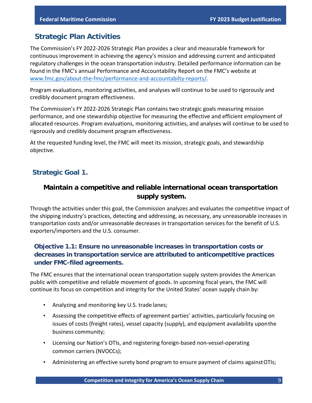## <span id="page-10-0"></span>**Strategic Plan Activities**

The Commission's FY 2022-2026 Strategic Plan provides a clear and measurable framework for continuous improvement in achieving the agency's mission and addressing current and anticipated regulatory challenges in the ocean transportation industry. Detailed performance information can be found in the FMC's annual Performance and Accountability Report on the FMC's website at [www.fmc.gov/about-the-fmc/performance-and-accountabilty-reports/.](http://www.fmc.gov/about-the-fmc/performance-and-accountabilty-reports/)

Program evaluations, monitoring activities, and analyses will continue to be used to rigorously and credibly document program effectiveness.

The Commission's FY 2022-2026 Strategic Plan contains two strategic goals measuring mission performance, and one stewardship objective for measuring the effective and efficient employment of allocated resources. Program evaluations, monitoring activities, and analyses will continue to be used to rigorously and credibly document program effectiveness.

At the requested funding level, the FMC will meet its mission, strategic goals, and stewardship objective.

#### <span id="page-10-1"></span>**Strategic Goal 1.**

#### **Maintain a competitive and reliable international ocean transportation supply system.**

Through the activities under this goal, the Commission analyzes and evaluates the competitive impact of the shipping industry's practices, detecting and addressing, as necessary, any unreasonable increases in transportation costs and/or unreasonable decreases in transportation services for the benefit of U.S. exporters/importers and the U.S. consumer.

#### **Objective 1.1: Ensure no unreasonable increases in transportation costs or decreases in transportation service are attributed to anticompetitive practices under FMC-filed agreements.**

The FMC ensures that the international ocean transportation supply system provides the American public with competitive and reliable movement of goods. In upcoming fiscal years, the FMC will continue its focus on competition and integrity for the United States' ocean supply chain by:

- Analyzing and monitoring key U.S. trade lanes;
- Assessing the competitive effects of agreement parties' activities, particularly focusing on issues of costs (freight rates), vessel capacity (supply), and equipment availability uponthe business community;
- Licensing our Nation's OTIs, and registering foreign-based non-vessel-operating common carriers (NVOCCs);
- Administering an effective surety bond program to ensure payment of claims againstOTIs;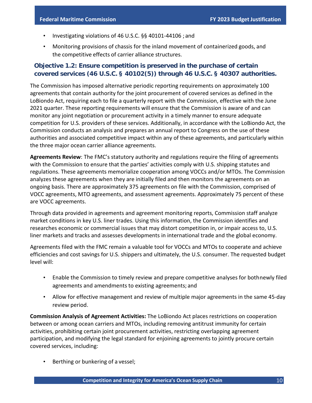- Investigating violations of 46 U.S.C. §§ 40101-44106 ; and
- Monitoring provisions of chassis for the inland movement of containerized goods, and the competitive effects of carrier alliance structures.

#### **Objective 1.2: Ensure competition is preserved in the purchase of certain covered services (46 U.S.C. § 40102(5)) through 46 U.S.C. § 40307 authorities.**

The Commission has imposed alternative periodic reporting requirements on approximately 100 agreements that contain authority for the joint procurement of covered services as defined in the LoBiondo Act, requiring each to file a quarterly report with the Commission, effective with the June 2021 quarter. These reporting requirements will ensure that the Commission is aware of and can monitor any joint negotiation or procurement activity in a timely manner to ensure adequate competition for U.S. providers of these services. Additionally, in accordance with the LoBiondo Act, the Commission conducts an analysis and prepares an annual report to Congress on the use of these authorities and associated competitive impact within any of these agreements, and particularly within the three major ocean carrier alliance agreements.

**Agreements Review**: The FMC's statutory authority and regulations require the filing of agreements with the Commission to ensure that the parties' activities comply with U.S. shipping statutes and regulations. These agreements memorialize cooperation among VOCCs and/or MTOs. The Commission analyzes these agreements when they are initially filed and then monitors the agreements on an ongoing basis. There are approximately 375 agreements on file with the Commission, comprised of VOCC agreements, MTO agreements, and assessment agreements. Approximately 75 percent of these are VOCC agreements.

Through data provided in agreements and agreement monitoring reports, Commission staff analyze market conditions in key U.S. liner trades. Using this information, the Commission identifies and researches economic or commercial issues that may distort competition in, or impair access to, U.S. liner markets and tracks and assesses developments in international trade and the global economy.

Agreements filed with the FMC remain a valuable tool for VOCCs and MTOs to cooperate and achieve efficiencies and cost savings for U.S. shippers and ultimately, the U.S. consumer. The requested budget level will:

- Enable the Commission to timely review and prepare competitive analyses for bothnewly filed agreements and amendments to existing agreements; and
- Allow for effective management and review of multiple major agreements in the same 45-day review period.

**Commission Analysis of Agreement Activities:** The LoBiondo Act places restrictions on cooperation between or among ocean carriers and MTOs, including removing antitrust immunity for certain activities, prohibiting certain joint procurement activities, restricting overlapping agreement participation, and modifying the legal standard for enjoining agreements to jointly procure certain covered services, including:

Berthing or bunkering of a vessel;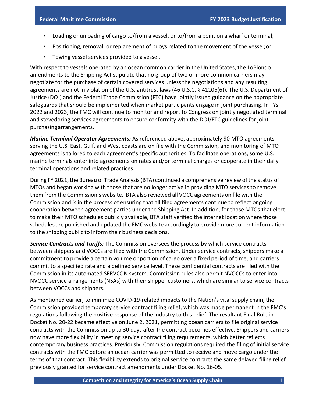- Loading or unloading of cargo to/from a vessel, or to/from a point on a wharf or terminal;
- Positioning, removal, or replacement of buoys related to the movement of the vessel;or
- Towing vessel services provided to a vessel.

With respect to vessels operated by an ocean common carrier in the United States, the LoBiondo amendments to the Shipping Act stipulate that no group of two or more common carriers may negotiate for the purchase of certain covered services unless the negotiations and any resulting agreements are not in violation of the U.S. antitrust laws (46 U.S.C. § 41105(6)). The U.S. Department of Justice (DOJ) and the Federal Trade Commission (FTC) have jointly issued guidance on the appropriate safeguards that should be implemented when market participants engage in joint purchasing. In FYs 2022 and 2023, the FMC will continue to monitor and report to Congress on jointly negotiated terminal and stevedoring services agreements to ensure conformity with the DOJ/FTC guidelines for joint purchasingarrangements.

*Marine Terminal Operator Agreements:* As referenced above, approximately 90 MTO agreements serving the U.S. East, Gulf, and West coasts are on file with the Commission, and monitoring of MTO agreements is tailored to each agreement's specific authorities. To facilitate operations, some U.S. marine terminals enter into agreements on rates and/or terminal charges or cooperate in their daily terminal operations and related practices.

During FY 2021, the Bureau of Trade Analysis(BTA) continued a comprehensive review of the status of MTOs and began working with those that are no longer active in providing MTO services to remove them from the Commission's website. BTA also reviewed all VOCC agreements on file with the Commission and is in the process of ensuring that all filed agreements continue to reflect ongoing cooperation between agreement parties under the Shipping Act. In addition, for those MTOs that elect to make their MTO schedules publicly available, BTA staff verified the internet location where those schedules are published and updated the FMC website accordingly to provide more current information to the shipping public to inform their business decisions.

*Service Contracts and Tariffs:* The Commission oversees the process by which service contracts between shippers and VOCCs are filed with the Commission. Under service contracts, shippers make a commitment to provide a certain volume or portion of cargo over a fixed period of time, and carriers commit to a specified rate and a defined service level. These confidential contracts are filed with the Commission in its automated SERVCON system. Commission rules also permit NVOCCs to enter into NVOCC service arrangements (NSAs) with their shipper customers, which are similar to service contracts between VOCCs and shippers.

As mentioned earlier, to minimize COVID-19-related impacts to the Nation's vital supply chain, the Commission provided temporary service contract filing relief, which was made permanent in the FMC's regulations following the positive response of the industry to this relief. The resultant Final Rule in Docket No. 20-22 became effective on June 2, 2021, permitting ocean carriers to file original service contracts with the Commission up to 30 days after the contract becomes effective. Shippers and carriers now have more flexibility in meeting service contract filing requirements, which better reflects contemporary business practices. Previously, Commission regulations required the filing of initial service contracts with the FMC before an ocean carrier was permitted to receive and move cargo under the terms of that contract. This flexibility extends to original service contracts the same delayed filing relief previously granted for service contract amendments under Docket No. 16-05.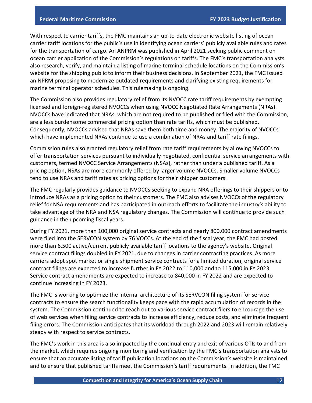With respect to carrier tariffs, the FMC maintains an up-to-date electronic website listing of ocean carrier tariff locations for the public's use in identifying ocean carriers' publicly available rules and rates for the transportation of cargo. An ANPRM was published in April 2021 seeking public comment on ocean carrier application of the Commission's regulations on tariffs. The FMC's transportation analysts also research, verify, and maintain a listing of marine terminal schedule locations on the Commission's website for the shipping public to inform their business decisions. In September 2021, the FMC issued an NPRM proposing to modernize outdated requirements and clarifying existing requirements for marine terminal operator schedules. This rulemaking is ongoing.

The Commission also provides regulatory relief from its NVOCC rate tariff requirements by exempting licensed and foreign-registered NVOCCs when using NVOCC Negotiated Rate Arrangements (NRAs). NVOCCs have indicated that NRAs, which are not required to be published or filed with the Commission, are a less burdensome commercial pricing option than rate tariffs, which must be published. Consequently, NVOCCs advised that NRAs save them both time and money. The majority of NVOCCs which have implemented NRAs continue to use a combination of NRAs and tariff rate filings.

Commission rules also granted regulatory relief from rate tariff requirements by allowing NVOCCs to offer transportation services pursuant to individually negotiated, confidential service arrangements with customers, termed NVOCC Service Arrangements (NSAs), rather than under a published tariff. As a pricing option, NSAs are more commonly offered by larger volume NVOCCs. Smaller volume NVOCCs tend to use NRAs and tariff rates as pricing options for their shipper customers.

The FMC regularly provides guidance to NVOCCs seeking to expand NRA offerings to their shippers or to introduce NRAs as a pricing option to their customers. The FMC also advises NVOCCs of the regulatory relief for NSA requirements and has participated in outreach efforts to facilitate the industry's ability to take advantage of the NRA and NSA regulatory changes. The Commission will continue to provide such guidance in the upcoming fiscal years.

During FY 2021, more than 100,000 original service contracts and nearly 800,000 contract amendments were filed into the SERVCON system by 76 VOCCs. At the end of the fiscal year, the FMC had posted more than 6,500 active/current publicly available tariff locations to the agency's website. Original service contract filings doubled in FY 2021, due to changes in carrier contracting practices. As more carriers adopt spot market or single shipment service contracts for a limited duration, original service contract filings are expected to increase further in FY 2022 to 110,000 and to 115,000 in FY 2023. Service contract amendments are expected to increase to 840,000 in FY 2022 and are expected to continue increasing in FY 2023.

The FMC is working to optimize the internal architecture of its SERVCON filing system for service contracts to ensure the search functionality keeps pace with the rapid accumulation of records in the system. The Commission continued to reach out to various service contract filers to encourage the use of web services when filing service contracts to increase efficiency, reduce costs, and eliminate frequent filing errors. The Commission anticipates that its workload through 2022 and 2023 will remain relatively steady with respect to service contracts.

The FMC's work in this area is also impacted by the continual entry and exit of various OTIs to and from the market, which requires ongoing monitoring and verification by the FMC's transportation analysts to ensure that an accurate listing of tariff publication locations on the Commission's website is maintained and to ensure that published tariffs meet the Commission's tariff requirements. In addition, the FMC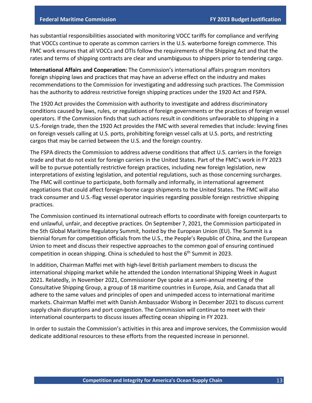has substantial responsibilities associated with monitoring VOCC tariffs for compliance and verifying that VOCCs continue to operate as common carriers in the U.S. waterborne foreign commerce. This FMC work ensures that all VOCCs and OTIs follow the requirements of the Shipping Act and that the rates and terms of shipping contracts are clear and unambiguous to shippers prior to tendering cargo.

**International Affairs and Cooperation:** The Commission's international affairs program monitors foreign shipping laws and practices that may have an adverse effect on the industry and makes recommendations to the Commission for investigating and addressing such practices. The Commission has the authority to address restrictive foreign shipping practices under the 1920 Act and FSPA.

The 1920 Act provides the Commission with authority to investigate and address discriminatory conditions caused by laws, rules, or regulations of foreign governments or the practices of foreign vessel operators. If the Commission finds that such actions result in conditions unfavorable to shipping in a U.S.-foreign trade, then the 1920 Act provides the FMC with several remedies that include: levying fines on foreign vessels calling at U.S. ports, prohibiting foreign vessel calls at U.S. ports, and restricting cargos that may be carried between the U.S. and the foreign country.

The FSPA directs the Commission to address adverse conditions that affect U.S. carriers in the foreign trade and that do not exist for foreign carriers in the United States. Part of the FMC's work in FY 2023 will be to pursue potentially restrictive foreign practices, including new foreign legislation, new interpretations of existing legislation, and potential regulations, such as those concerning surcharges. The FMC will continue to participate, both formally and informally, in international agreement negotiations that could affect foreign-borne cargo shipments to the United States. The FMC will also track consumer and U.S.-flag vessel operator inquiries regarding possible foreign restrictive shipping practices.

The Commission continued its international outreach efforts to coordinate with foreign counterparts to end unlawful, unfair, and deceptive practices. On September 7, 2021, the Commission participated in the 5th Global Maritime Regulatory Summit, hosted by the European Union (EU). The Summit is a biennial forum for competition officials from the U.S., the People's Republic of China, and the European Union to meet and discuss their respective approaches to the common goal of ensuring continued competition in ocean shipping. China is scheduled to host the  $6<sup>th</sup>$  Summit in 2023.

In addition, Chairman Maffei met with high-level British parliament members to discuss the international shipping market while he attended the London International Shipping Week in August 2021. Relatedly, in November 2021, Commissioner Dye spoke at a semi-annual meeting of the Consultative Shipping Group, a group of 18 maritime countries in Europe, Asia, and Canada that all adhere to the same values and principles of open and unimpeded access to international maritime markets. Chairman Maffei met with Danish Ambassador Wisborg in December 2021 to discuss current supply chain disruptions and port congestion. The Commission will continue to meet with their international counterparts to discuss issues affecting ocean shipping in FY 2023.

In order to sustain the Commission's activities in this area and improve services, the Commission would dedicate additional resources to these efforts from the requested increase in personnel.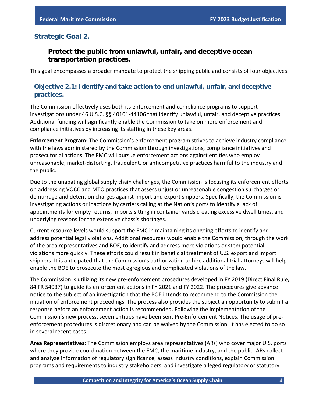#### <span id="page-15-0"></span>**Strategic Goal 2.**

#### **Protect the public from unlawful, unfair, and deceptive ocean transportation practices.**

This goal encompasses a broader mandate to protect the shipping public and consists of four objectives.

#### **Objective 2.1: Identify and take action to end unlawful, unfair, and deceptive practices.**

The Commission effectively uses both its enforcement and compliance programs to support investigations under 46 U.S.C. §§ 40101-44106 that identify unlawful, unfair, and deceptive practices. Additional funding will significantly enable the Commission to take on more enforcement and compliance initiatives by increasing its staffing in these key areas.

**Enforcement Program:** The Commission's enforcement program strives to achieve industry compliance with the laws administered by the Commission through investigations, compliance initiatives and prosecutorial actions. The FMC will pursue enforcement actions against entities who employ unreasonable, market-distorting, fraudulent, or anticompetitive practices harmful to the industry and the public.

Due to the unabating global supply chain challenges, the Commission is focusing its enforcement efforts on addressing VOCC and MTO practices that assess unjust or unreasonable congestion surcharges or demurrage and detention charges against import and export shippers. Specifically, the Commission is investigating actions or inactions by carriers calling at the Nation's ports to identify a lack of appointments for empty returns, imports sitting in container yards creating excessive dwell times, and underlying reasons for the extensive chassis shortages.

Current resource levels would support the FMC in maintaining its ongoing efforts to identify and address potential legal violations. Additional resources would enable the Commission, through the work of the area representatives and BOE, to identify and address more violations or stem potential violations more quickly. These efforts could result in beneficial treatment of U.S. export and import shippers. It is anticipated that the Commission's authorization to hire additional trial attorneys will help enable the BOE to prosecute the most egregious and complicated violations of the law.

The Commission is utilizing its new pre-enforcement procedures developed in FY 2019 (Direct Final Rule, 84 FR 54037) to guide its enforcement actions in FY 2021 and FY 2022. The procedures give advance notice to the subject of an investigation that the BOE intends to recommend to the Commission the initiation of enforcement proceedings. The process also provides the subject an opportunity to submit a response before an enforcement action is recommended. Following the implementation of the Commission's new process, seven entities have been sent Pre-Enforcement Notices. The usage of preenforcement procedures is discretionary and can be waived by the Commission. It has elected to do so in several recent cases.

**Area Representatives:** The Commission employs area representatives (ARs) who cover major U.S. ports where they provide coordination between the FMC, the maritime industry, and the public. ARs collect and analyze information of regulatory significance, assess industry conditions, explain Commission programs and requirements to industry stakeholders, and investigate alleged regulatory or statutory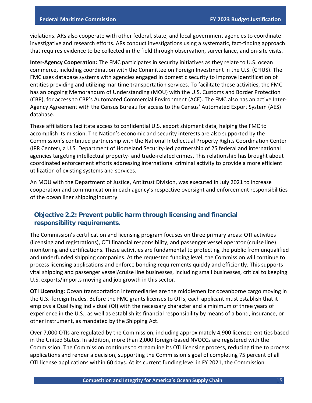violations. ARs also cooperate with other federal, state, and local government agencies to coordinate investigative and research efforts. ARs conduct investigations using a systematic, fact-finding approach that requires evidence to be collected in the field through observation, surveillance, and on-site visits.

**Inter-Agency Cooperation:** The FMC participates in security initiatives as they relate to U.S. ocean commerce, including coordination with the Committee on Foreign Investment in the U.S. (CFIUS). The FMC uses database systems with agencies engaged in domestic security to improve identification of entities providing and utilizing maritime transportation services. To facilitate these activities, the FMC has an ongoing Memorandum of Understanding (MOU) with the U.S. Customs and Border Protection (CBP), for access to CBP's Automated Commercial Environment (ACE). The FMC also has an active Inter-Agency Agreement with the Census Bureau for access to the Census' Automated Export System (AES) database.

These affiliations facilitate access to confidential U.S. export shipment data, helping the FMC to accomplish its mission. The Nation's economic and security interests are also supported by the Commission's continued partnership with the National Intellectual Property Rights Coordination Center (IPR Center), a U.S. Department of Homeland Security-led partnership of 25 federal and international agencies targeting intellectual property- and trade-related crimes. This relationship has brought about coordinated enforcement efforts addressing international criminal activity to provide a more efficient utilization of existing systems and services.

An MOU with the Department of Justice, Antitrust Division, was executed in July 2021 to increase cooperation and communication in each agency's respective oversight and enforcement responsibilities of the ocean liner shipping industry.

#### **Objective 2.2: Prevent public harm through licensing and financial responsibility requirements.**

The Commission's certification and licensing program focuses on three primary areas: OTI activities (licensing and registrations), OTI financial responsibility, and passenger vessel operator (cruise line) monitoring and certifications. These activities are fundamental to protecting the public from unqualified and underfunded shipping companies. At the requested funding level, the Commission will continue to process licensing applications and enforce bonding requirements quickly and efficiently. This supports vital shipping and passenger vessel/cruise line businesses, including small businesses, critical to keeping U.S. exports/imports moving and job growth in this sector.

**OTI Licensing:** Ocean transportation intermediaries are the middlemen for oceanborne cargo moving in the U.S.-foreign trades. Before the FMC grants licenses to OTIs, each applicant must establish that it employs a Qualifying Individual (QI) with the necessary character and a minimum of three years of experience in the U.S., as well as establish its financial responsibility by means of a bond, insurance, or other instrument, as mandated by the Shipping Act.

Over 7,000 OTIs are regulated by the Commission, including approximately 4,900 licensed entities based in the United States. In addition, more than 2,000 foreign-based NVOCCs are registered with the Commission. The Commission continues to streamline its OTI licensing process, reducing time to process applications and render a decision, supporting the Commission's goal of completing 75 percent of all OTI license applications within 60 days. At its current funding level in FY 2021, the Commission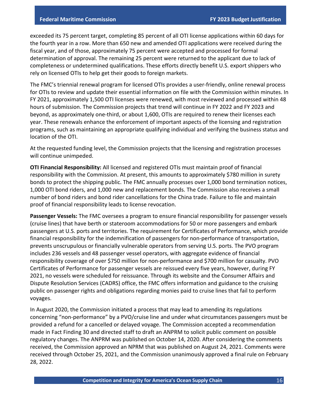exceeded its 75 percent target, completing 85 percent of all OTI license applications within 60 days for the fourth year in a row. More than 650 new and amended OTI applications were received during the fiscal year, and of those, approximately 75 percent were accepted and processed for formal determination of approval. The remaining 25 percent were returned to the applicant due to lack of completeness or undetermined qualifications. These efforts directly benefit U.S. export shippers who rely on licensed OTIs to help get their goods to foreign markets.

The FMC's triennial renewal program for licensed OTIs provides a user-friendly, online renewal process for OTIs to review and update their essential information on file with the Commission within minutes. In FY 2021, approximately 1,500 OTI licenses were renewed, with most reviewed and processed within 48 hours of submission. The Commission projects that trend will continue in FY 2022 and FY 2023 and beyond, as approximately one-third, or about 1,600, OTIs are required to renew their licenses each year. These renewals enhance the enforcement of important aspects of the licensing and registration programs, such as maintaining an appropriate qualifying individual and verifying the business status and location of the OTI.

At the requested funding level, the Commission projects that the licensing and registration processes will continue unimpeded.

**OTI Financial Responsibility:** All licensed and registered OTIs must maintain proof of financial responsibility with the Commission. At present, this amounts to approximately \$780 million in surety bonds to protect the shipping public. The FMC annually processes over 1,000 bond termination notices, 1,000 OTI bond riders, and 1,000 new and replacement bonds. The Commission also receives a small number of bond riders and bond rider cancellations for the China trade. Failure to file and maintain proof of financial responsibility leads to license revocation.

**Passenger Vessels:** The FMC oversees a program to ensure financial responsibility for passenger vessels (cruise lines) that have berth or stateroom accommodations for 50 or more passengers and embark passengers at U.S. ports and territories. The requirement for Certificates of Performance, which provide financial responsibility for the indemnification of passengers for non-performance of transportation, prevents unscrupulous or financially vulnerable operators from serving U.S. ports. The PVO program includes 236 vessels and 48 passenger vessel operators, with aggregate evidence of financial responsibility coverage of over \$750 million for non-performance and \$700 million for casualty. PVO Certificates of Performance for passenger vessels are reissued every five years, however, during FY 2021, no vessels were scheduled for reissuance. Through its website and the Consumer Affairs and Dispute Resolution Services (CADRS) office, the FMC offers information and guidance to the cruising public on passenger rights and obligations regarding monies paid to cruise lines that fail to perform voyages.

In August 2020, the Commission initiated a process that may lead to amending its regulations concerning "non-performance" by a PVO/cruise line and under what circumstances passengers must be provided a refund for a cancelled or delayed voyage. The Commission accepted a recommendation made in Fact Finding 30 and directed staff to draft an ANPRM to solicit public comment on possible regulatory changes. The ANPRM was published on October 14, 2020. After considering the comments received, the Commission approved an NPRM that was published on August 24, 2021. Comments were received through October 25, 2021, and the Commission unanimously approved a final rule on February 28, 2022.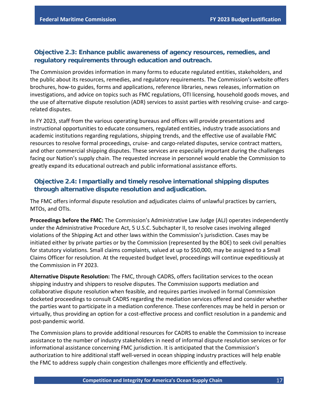#### **Objective 2.3: Enhance public awareness of agency resources, remedies, and regulatory requirements through education and outreach.**

The Commission provides information in many forms to educate regulated entities, stakeholders, and the public about its resources, remedies, and regulatory requirements. The Commission's website offers brochures, how-to guides, forms and applications, reference libraries, news releases, information on investigations, and advice on topics such as FMC regulations, OTI licensing, household goods moves, and the use of alternative dispute resolution (ADR) services to assist parties with resolving cruise- and cargorelated disputes.

In FY 2023, staff from the various operating bureaus and offices will provide presentations and instructional opportunities to educate consumers, regulated entities, industry trade associations and academic institutions regarding regulations, shipping trends, and the effective use of available FMC resources to resolve formal proceedings, cruise- and cargo-related disputes, service contract matters, and other commercial shipping disputes. These services are especially important during the challenges facing our Nation's supply chain. The requested increase in personnel would enable the Commission to greatly expand its educational outreach and public informational assistance efforts.

#### **Objective 2.4: Impartially and timely resolve international shipping disputes through alternative dispute resolution and adjudication.**

The FMC offers informal dispute resolution and adjudicates claims of unlawful practices by carriers, MTOs, and OTIs.

**Proceedings before the FMC:** The Commission's Administrative Law Judge (ALJ) operates independently under the Administrative Procedure Act, 5 U.S.C. Subchapter II, to resolve cases involving alleged violations of the Shipping Act and other laws within the Commission's jurisdiction. Cases may be initiated either by private parties or by the Commission (represented by the BOE) to seek civil penalties for statutory violations. Small claims complaints, valued at up to \$50,000, may be assigned to a Small Claims Officer for resolution. At the requested budget level, proceedings will continue expeditiously at the Commission in FY 2023.

**Alternative Dispute Resolution:** The FMC, through CADRS, offers facilitation services to the ocean shipping industry and shippers to resolve disputes. The Commission supports mediation and collaborative dispute resolution when feasible, and requires parties involved in formal Commission docketed proceedings to consult CADRS regarding the mediation services offered and consider whether the parties want to participate in a mediation conference. These conferences may be held in person or virtually, thus providing an option for a cost-effective process and conflict resolution in a pandemic and post-pandemic world.

The Commission plans to provide additional resources for CADRS to enable the Commission to increase assistance to the number of industry stakeholders in need of informal dispute resolution services or for informational assistance concerning FMC jurisdiction. It is anticipated that the Commission's authorization to hire additional staff well-versed in ocean shipping industry practices will help enable the FMC to address supply chain congestion challenges more efficiently and effectively.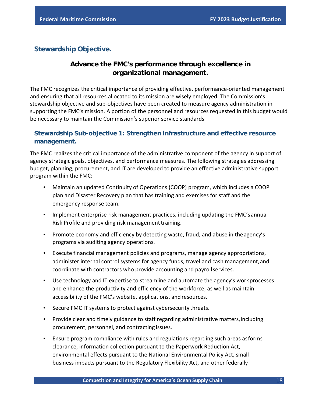#### <span id="page-19-0"></span>**Stewardship Objective.**

## **Advance the FMC's performance through excellence in organizational management.**

The FMC recognizes the critical importance of providing effective, performance-oriented management and ensuring that all resources allocated to its mission are wisely employed. The Commission's stewardship objective and sub-objectives have been created to measure agency administration in supporting the FMC's mission. A portion of the personnel and resources requested in this budget would be necessary to maintain the Commission's superior service standards

#### **Stewardship Sub-objective 1: Strengthen infrastructure and effective resource management.**

The FMC realizes the critical importance of the administrative component of the agency in support of agency strategic goals, objectives, and performance measures. The following strategies addressing budget, planning, procurement, and IT are developed to provide an effective administrative support program within the FMC:

- Maintain an updated Continuity of Operations (COOP) program, which includes a COOP plan and Disaster Recovery plan that has training and exercises for staff and the emergency response team.
- Implement enterprise risk management practices, including updating the FMC'sannual Risk Profile and providing risk management training.
- Promote economy and efficiency by detecting waste, fraud, and abuse in theagency's programs via auditing agency operations.
- Execute financial management policies and programs, manage agency appropriations, administer internal control systems for agency funds, travel and cash management,and coordinate with contractors who provide accounting and payrollservices.
- Use technology and IT expertise to streamline and automate the agency's workprocesses and enhance the productivity and efficiency of the workforce, as well as maintain accessibility of the FMC's website, applications, and resources.
- Secure FMC IT systems to protect against cybersecurity threats.
- Provide clear and timely guidance to staff regarding administrative matters,including procurement, personnel, and contracting issues.
- Ensure program compliance with rules and regulations regarding such areas asforms clearance, information collection pursuant to the Paperwork Reduction Act, environmental effects pursuant to the National Environmental Policy Act, small business impacts pursuant to the Regulatory Flexibility Act, and other federally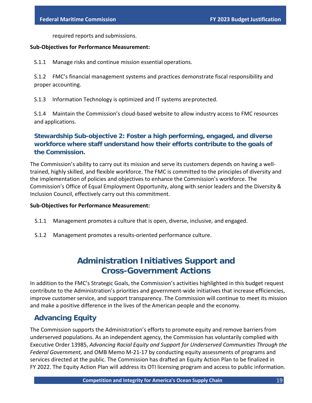required reports and submissions.

#### **Sub-Objectives for Performance Measurement:**

S.1.1 Manage risks and continue mission essential operations.

S.1.2 FMC's financial management systems and practices demonstrate fiscal responsibility and proper accounting.

S.1.3 Information Technology is optimized and IT systems areprotected.

S.1.4 Maintain the Commission's cloud-based website to allow industry access to FMC resources and applications.

#### **Stewardship Sub-objective 2: Foster a high performing, engaged, and diverse workforce where staff understand how their efforts contribute to the goals of the Commission.**

The Commission's ability to carry out its mission and serve its customers depends on having a welltrained, highly skilled, and flexible workforce. The FMC is committed to the principles of diversity and the implementation of policies and objectives to enhance the Commission's workforce. The Commission's Office of Equal Employment Opportunity, along with senior leaders and the Diversity & Inclusion Council, effectively carry out this commitment.

#### **Sub-Objectives for Performance Measurement:**

- S.1.1 Management promotes a culture that is open, diverse, inclusive, and engaged.
- <span id="page-20-0"></span>S.1.2 Management promotes a results-oriented performance culture.

# **Administration Initiatives Support and Cross-Government Actions**

In addition to the FMC's Strategic Goals, the Commission's activities highlighted in this budget request contribute to the Administration's priorities and government-wide initiatives that increase efficiencies, improve customer service, and support transparency. The Commission will continue to meet its mission and make a positive difference in the lives of the American people and the economy.

## <span id="page-20-1"></span>**Advancing Equity**

The Commission supports the Administration's efforts to promote equity and remove barriers from underserved populations. As an independent agency, the Commission has voluntarily complied with Executive Order 13985, *Advancing Racial Equity and Support for Underserved Communities Through the Federal Government,* and OMB Memo M-21-17 by conducting equity assessments of programs and services directed at the public. The Commission has drafted an Equity Action Plan to be finalized in FY 2022. The Equity Action Plan will address its OTI licensing program and access to public information.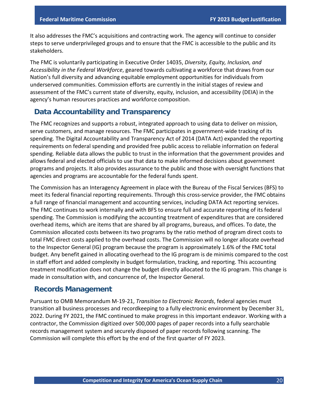It also addresses the FMC's acquisitions and contracting work. The agency will continue to consider steps to serve underprivileged groups and to ensure that the FMC is accessible to the public and its stakeholders.

The FMC is voluntarily participating in Executive Order 14035, *Diversity, Equity, Inclusion, and Accessibility in the Federal Workforce*, geared towards cultivating a workforce that draws from our Nation's full diversity and advancing equitable employment opportunities for individuals from underserved communities. Commission efforts are currently in the initial stages of review and assessment of the FMC's current state of diversity, equity, inclusion, and accessibility (DEIA) in the agency's human resources practices and workforce composition.

## <span id="page-21-0"></span>**Data Accountability and Transparency**

The FMC recognizes and supports a robust, integrated approach to using data to deliver on mission, serve customers, and manage resources. The FMC participates in government-wide tracking of its spending. The Digital Accountability and Transparency Act of 2014 (DATA Act) expanded the reporting requirements on federal spending and provided free public access to reliable information on federal spending. Reliable data allows the public to trust in the information that the government provides and allows federal and elected officials to use that data to make informed decisions about government programs and projects. It also provides assurance to the public and those with oversight functions that agencies and programs are accountable for the federal funds spent.

The Commission has an Interagency Agreement in place with the Bureau of the Fiscal Services (BFS) to meet its federal financial reporting requirements. Through this cross-service provider, the FMC obtains a full range of financial management and accounting services, including DATA Act reporting services. The FMC continues to work internally and with BFS to ensure full and accurate reporting of its federal spending. The Commission is modifying the accounting treatment of expenditures that are considered overhead items, which are items that are shared by all programs, bureaus, and offices. To date, the Commission allocated costs between its two programs by the ratio method of program direct costs to total FMC direct costs applied to the overhead costs. The Commission will no longer allocate overhead to the Inspector General (IG) program because the program is approximately 1.6% of the FMC total budget. Any benefit gained in allocating overhead to the IG program is de minimis compared to the cost in staff effort and added complexity in budget formulation, tracking, and reporting. This accounting treatment modification does not change the budget directly allocated to the IG program. This change is made in consultation with, and concurrence of, the Inspector General.

## <span id="page-21-1"></span>**Records Management**

Pursuant to OMB Memorandum M-19-21, *Transition to Electronic Records*, federal agencies must transition all business processes and recordkeeping to a fully electronic environment by December 31, 2022. During FY 2021, the FMC continued to make progress in this important endeavor. Working with a contractor, the Commission digitized over 500,000 pages of paper records into a fully searchable records management system and securely disposed of paper records following scanning. The Commission will complete this effort by the end of the first quarter of FY 2023.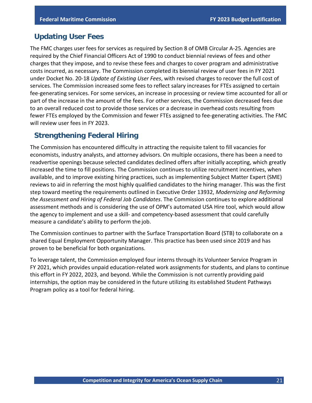#### <span id="page-22-0"></span>**Updating User Fees**

The FMC charges user fees for services as required by Section 8 of OMB Circular A-25. Agencies are required by the Chief Financial Officers Act of 1990 to conduct biennial reviews of fees and other charges that they impose, and to revise these fees and charges to cover program and administrative costs incurred, as necessary. The Commission completed its biennial review of user fees in FY 2021 under Docket No. 20-18 *Update of Existing User Fees*, with revised charges to recover the full cost of services. The Commission increased some fees to reflect salary increases for FTEs assigned to certain fee-generating services. For some services, an increase in processing or review time accounted for all or part of the increase in the amount of the fees. For other services, the Commission decreased fees due to an overall reduced cost to provide those services or a decrease in overhead costs resulting from fewer FTEs employed by the Commission and fewer FTEs assigned to fee-generating activities. The FMC will review user fees in FY 2023.

## <span id="page-22-1"></span>**Strengthening Federal Hiring**

The Commission has encountered difficulty in attracting the requisite talent to fill vacancies for economists, industry analysts, and attorney advisors. On multiple occasions, there has been a need to readvertise openings because selected candidates declined offers after initially accepting, which greatly increased the time to fill positions. The Commission continues to utilize recruitment incentives, when available, and to improve existing hiring practices, such as implementing Subject Matter Expert (SME) reviews to aid in referring the most highly qualified candidates to the hiring manager. This was the first step toward meeting the requirements outlined in Executive Order 13932, *Modernizing and Reforming the Assessment and Hiring of Federal Job Candidates*. The Commission continues to explore additional assessment methods and is considering the use of OPM's automated USA Hire tool, which would allow the agency to implement and use a skill- and competency-based assessment that could carefully measure a candidate's ability to perform the job.

The Commission continues to partner with the Surface Transportation Board (STB) to collaborate on a shared Equal Employment Opportunity Manager. This practice has been used since 2019 and has proven to be beneficial for both organizations.

To leverage talent, the Commission employed four interns through its Volunteer Service Program in FY 2021, which provides unpaid education-related work assignments for students, and plans to continue this effort in FY 2022, 2023, and beyond. While the Commission is not currently providing paid internships, the option may be considered in the future utilizing its established Student Pathways Program policy as a tool for federal hiring.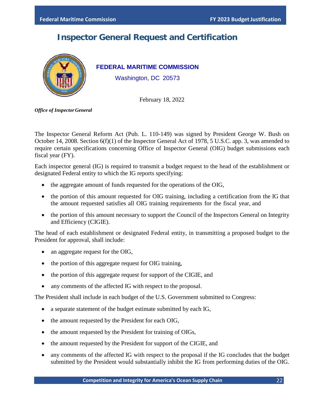# **Inspector General Request and Certification**

<span id="page-23-0"></span>

**FEDERAL MARITIME COMMISSION**

Washington, DC 20573

February 18, 2022

*Office of Inspector General*

The Inspector General Reform Act (Pub. L. 110-149) was signed by President George W. Bush on October 14, 2008. Section 6(f)(1) of the Inspector General Act of 1978, 5 U.S.C. app. 3, was amended to require certain specifications concerning Office of Inspector General (OIG) budget submissions each fiscal year (FY).

Each inspector general (IG) is required to transmit a budget request to the head of the establishment or designated Federal entity to which the IG reports specifying:

- the aggregate amount of funds requested for the operations of the OIG,
- the portion of this amount requested for OIG training, including a certification from the IG that the amount requested satisfies all OIG training requirements for the fiscal year, and
- the portion of this amount necessary to support the Council of the Inspectors General on Integrity and Efficiency (CIGIE).

The head of each establishment or designated Federal entity, in transmitting a proposed budget to the President for approval, shall include:

- an aggregate request for the OIG,
- the portion of this aggregate request for OIG training,
- the portion of this aggregate request for support of the CIGIE, and
- any comments of the affected IG with respect to the proposal.

The President shall include in each budget of the U.S. Government submitted to Congress:

- a separate statement of the budget estimate submitted by each IG,
- the amount requested by the President for each OIG,
- the amount requested by the President for training of OIGs,
- the amount requested by the President for support of the CIGIE, and
- any comments of the affected IG with respect to the proposal if the IG concludes that the budget submitted by the President would substantially inhibit the IG from performing duties of the OIG.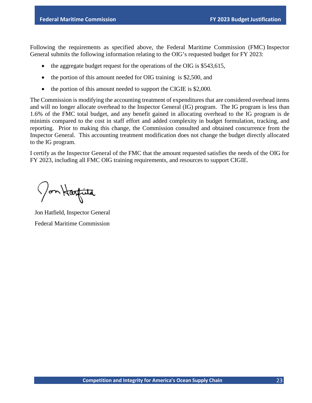Following the requirements as specified above, the Federal Maritime Commission (FMC) Inspector General submits the following information relating to the OIG's requested budget for FY 2023:

- the aggregate budget request for the operations of the OIG is \$543,615,
- the portion of this amount needed for OIG training is \$2,500, and
- the portion of this amount needed to support the CIGIE is \$2,000.

The Commission is modifying the accounting treatment of expenditures that are considered overhead items and will no longer allocate overhead to the Inspector General (IG) program. The IG program is less than 1.6% of the FMC total budget, and any benefit gained in allocating overhead to the IG program is de minimis compared to the cost in staff effort and added complexity in budget formulation, tracking, and reporting. Prior to making this change, the Commission consulted and obtained concurrence from the Inspector General. This accounting treatment modification does not change the budget directly allocated to the IG program.

I certify as the Inspector General of the FMC that the amount requested satisfies the needs of the OIG for FY 2023, including all FMC OIG training requirements, and resources to support CIGIE.

Jon Harfita

Jon Hatfield, Inspector General Federal Maritime Commission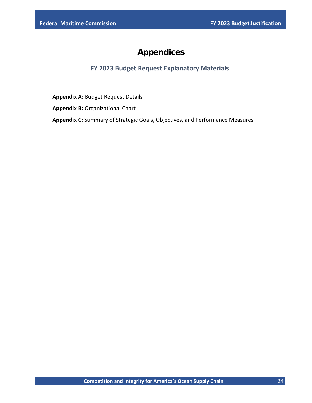# **Appendices**

#### **FY 2023 Budget Request Explanatory Materials**

<span id="page-25-0"></span>**Appendix A:** Budget Request Details

**Appendix B:** Organizational Chart

**Appendix C:** Summary of Strategic Goals, Objectives, and Performance Measures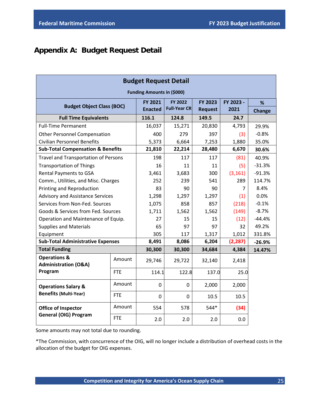# <span id="page-26-0"></span>**Appendix A: Budget Request Detail**

| <b>Budget Request Detail</b>                               |                                  |                |                      |                |           |               |  |  |  |
|------------------------------------------------------------|----------------------------------|----------------|----------------------|----------------|-----------|---------------|--|--|--|
| <b>Funding Amounts in (\$000)</b>                          |                                  |                |                      |                |           |               |  |  |  |
|                                                            | <b>Budget Object Class (BOC)</b> |                |                      | FY 2023        | FY 2023 - | %             |  |  |  |
|                                                            |                                  | <b>Enacted</b> | <b>Full-Year CRI</b> | <b>Request</b> | 2021      | <b>Change</b> |  |  |  |
| <b>Full Time Equivalents</b>                               |                                  | 116.1          | 124.8                | 149.5          | 24.7      |               |  |  |  |
| <b>Full-Time Permanent</b>                                 |                                  | 16,037         | 15,271               | 20,830         | 4,793     | 29.9%         |  |  |  |
| <b>Other Personnel Compensation</b>                        |                                  | 400            | 279                  | 397            | (3)       | $-0.8%$       |  |  |  |
| <b>Civilian Personnel Benefits</b>                         |                                  | 5,373          | 6,664                | 7,253          | 1,880     | 35.0%         |  |  |  |
| <b>Sub-Total Compensation &amp; Benefits</b>               |                                  | 21,810         | 22,214               | 28,480         | 6,670     | 30.6%         |  |  |  |
| <b>Travel and Transportation of Persons</b>                |                                  | 198            | 117                  | 117            | (81)      | 40.9%         |  |  |  |
| <b>Transportation of Things</b>                            |                                  | 16             | 11                   | 11             | (5)       | $-31.3%$      |  |  |  |
| <b>Rental Payments to GSA</b>                              |                                  | 3,461          | 3,683                | 300            | (3, 161)  | $-91.3%$      |  |  |  |
| Comm., Utilities, and Misc. Charges                        |                                  | 252            | 239                  | 541            | 289       | 114.7%        |  |  |  |
| Printing and Reproduction                                  |                                  | 83             | 90.                  | 90             | 7         | 8.4%          |  |  |  |
| <b>Advisory and Assistance Services</b>                    |                                  | 1,298          | 1,297                | 1,297          | (1)       | 0.0%          |  |  |  |
| Services from Non-Fed. Sources                             |                                  | 1,075          | 858                  | 857            | (218)     | $-0.1%$       |  |  |  |
| Goods & Services from Fed. Sources                         |                                  | 1,711          | 1,562                | 1,562          | (149)     | $-8.7%$       |  |  |  |
| Operation and Maintenance of Equip.                        |                                  | 27             | 15                   | 15             | (12)      | $-44.4%$      |  |  |  |
| <b>Supplies and Materials</b>                              |                                  | 65             | 97                   | 97             | 32        | 49.2%         |  |  |  |
| Equipment                                                  |                                  | 305            | 117                  | 1,317          | 1,012     | 331.8%        |  |  |  |
| <b>Sub-Total Administrative Expenses</b>                   |                                  | 8,491          | 8,086                | 6,204          | (2, 287)  | $-26.9%$      |  |  |  |
| <b>Total Funding</b>                                       |                                  | 30,300         | 30,300               | 34,684         | 4,384     | 14.47%        |  |  |  |
| <b>Operations &amp;</b><br><b>Administration (O&amp;A)</b> | Amount                           | 29,746         | 29,722               | 32,140         | 2,418     |               |  |  |  |
| Program                                                    | <b>FTE</b>                       | 114.1          | 122.8                | 137.0          | 25.0      |               |  |  |  |
| <b>Operations Salary &amp;</b>                             | Amount                           | $\Omega$       | 0                    | 2,000          | 2,000     |               |  |  |  |
| <b>Benefits (Multi-Year)</b>                               | <b>FTE</b>                       | 0              | 0                    | 10.5           | 10.5      |               |  |  |  |
| <b>Office of Inspector</b>                                 | Amount                           | 554            | 578                  | 544*           | (34)      |               |  |  |  |
| <b>General (OIG) Program</b>                               | <b>FTE</b>                       | 2.0            | 2.0                  | 2.0            | 0.0       |               |  |  |  |

Some amounts may not total due to rounding.

\*The Commission, with concurrence of the OIG, will no longer include a distribution of overhead costs in the allocation of the budget for OIG expenses.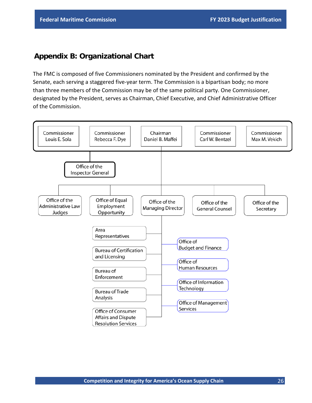## <span id="page-27-0"></span>**Appendix B: Organizational Chart**

The FMC is composed of five Commissioners nominated by the President and confirmed by the Senate, each serving a staggered five-year term. The Commission is a bipartisan body; no more than three members of the Commission may be of the same political party. One Commissioner, designated by the President, serves as Chairman, Chief Executive, and Chief Administrative Officer of the Commission.

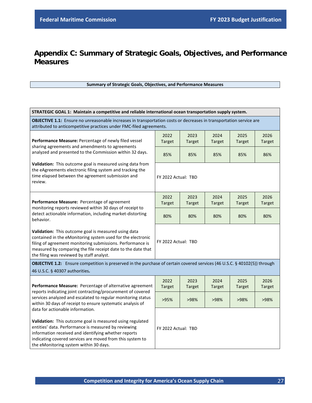# <span id="page-28-0"></span>**Appendix C: Summary of Strategic Goals, Objectives, and Performance Measures**

#### **Summary of Strategic Goals, Objectives, and Performance Measures**

| STRATEGIC GOAL 1: Maintain a competitive and reliable international ocean transportation supply system.                                                                                                                                                                                                              |                       |                       |                       |                       |                       |  |
|----------------------------------------------------------------------------------------------------------------------------------------------------------------------------------------------------------------------------------------------------------------------------------------------------------------------|-----------------------|-----------------------|-----------------------|-----------------------|-----------------------|--|
| OBJECTIVE 1.1: Ensure no unreasonable increases in transportation costs or decreases in transportation service are<br>attributed to anticompetitive practices under FMC-filed agreements.                                                                                                                            |                       |                       |                       |                       |                       |  |
| Performance Measure: Percentage of newly filed vessel                                                                                                                                                                                                                                                                | 2022<br><b>Target</b> | 2023<br><b>Target</b> | 2024<br><b>Target</b> | 2025<br><b>Target</b> | 2026<br><b>Target</b> |  |
| sharing agreements and amendments to agreements<br>analyzed and presented to the Commission within 32 days.                                                                                                                                                                                                          | 85%                   | 85%                   | 85%                   | 85%                   | 86%                   |  |
| Validation: This outcome goal is measured using data from<br>the eAgreements electronic filing system and tracking the<br>time elapsed between the agreement submission and<br>review.                                                                                                                               | FY 2022 Actual: TBD   |                       |                       |                       |                       |  |
|                                                                                                                                                                                                                                                                                                                      | 2022                  | 2023                  | 2024                  | 2025                  | 2026                  |  |
| Performance Measure: Percentage of agreement<br>monitoring reports reviewed within 30 days of receipt to<br>detect actionable information, including market-distorting<br>behavior.                                                                                                                                  | <b>Target</b>         | <b>Target</b>         | <b>Target</b>         | <b>Target</b>         | <b>Target</b>         |  |
|                                                                                                                                                                                                                                                                                                                      | 80%                   | 80%                   | 80%                   | 80%                   | 80%                   |  |
| Validation: This outcome goal is measured using data<br>contained in the eMonitoring system used for the electronic<br>filing of agreement monitoring submissions. Performance is<br>measured by comparing the file receipt date to the date that<br>the filing was reviewed by staff analyst.                       | FY 2022 Actual: TBD   |                       |                       |                       |                       |  |
| OBJECTIVE 1.2: Ensure competition is preserved in the purchase of certain covered services (46 U.S.C. § 40102(5)) through<br>46 U.S.C. § 40307 authorities.                                                                                                                                                          |                       |                       |                       |                       |                       |  |
| Performance Measure: Percentage of alternative agreement                                                                                                                                                                                                                                                             | 2022<br><b>Target</b> | 2023<br><b>Target</b> | 2024<br><b>Target</b> | 2025<br><b>Target</b> | 2026<br><b>Target</b> |  |
| reports indicating joint contracting/procurement of covered<br>services analyzed and escalated to regular monitoring status<br>within 30 days of receipt to ensure systematic analysis of                                                                                                                            | >95%                  | >98%                  | >98%                  | >98%                  | >98%                  |  |
| data for actionable information.<br>Validation: This outcome goal is measured using regulated<br>entities' data. Performance is measured by reviewing<br>information received and identifying whether reports<br>indicating covered services are moved from this system to<br>the eMonitoring system within 30 days. | FY 2022 Actual: TBD   |                       |                       |                       |                       |  |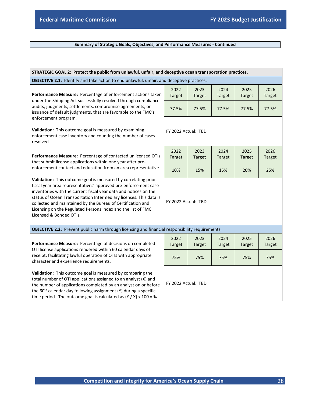#### **Summary of Strategic Goals, Objectives, and Performance Measures - Continued**

| STRATEGIC GOAL 2: Protect the public from unlawful, unfair, and deceptive ocean transportation practices.                                                                                                                                                                                                                                                                                                                             |                       |                       |                       |                       |                       |  |
|---------------------------------------------------------------------------------------------------------------------------------------------------------------------------------------------------------------------------------------------------------------------------------------------------------------------------------------------------------------------------------------------------------------------------------------|-----------------------|-----------------------|-----------------------|-----------------------|-----------------------|--|
| <b>OBJECTIVE 2.1:</b> Identify and take action to end unlawful, unfair, and deceptive practices.                                                                                                                                                                                                                                                                                                                                      |                       |                       |                       |                       |                       |  |
| Performance Measure: Percentage of enforcement actions taken<br>under the Shipping Act successfully resolved through compliance                                                                                                                                                                                                                                                                                                       | 2022<br><b>Target</b> | 2023<br>Target        | 2024<br><b>Target</b> | 2025<br><b>Target</b> | 2026<br><b>Target</b> |  |
| audits, judgments, settlements, compromise agreements, or<br>issuance of default judgments, that are favorable to the FMC's                                                                                                                                                                                                                                                                                                           | 77.5%                 | 77.5%                 | 77.5%                 | 77.5%                 | 77.5%                 |  |
| enforcement program.<br>Validation: This outcome goal is measured by examining<br>enforcement case inventory and counting the number of cases<br>resolved.                                                                                                                                                                                                                                                                            | FY 2022 Actual: TBD   |                       |                       |                       |                       |  |
| Performance Measure: Percentage of contacted unlicensed OTIs                                                                                                                                                                                                                                                                                                                                                                          | 2022<br><b>Target</b> | 2023<br><b>Target</b> | 2024<br><b>Target</b> | 2025<br><b>Target</b> | 2026<br><b>Target</b> |  |
| that submit license applications within one year after pre-<br>enforcement contact and education from an area representative.                                                                                                                                                                                                                                                                                                         |                       | 15%                   | 15%                   | 20%                   | 25%                   |  |
| Validation: This outcome goal is measured by correlating prior<br>fiscal year area representatives' approved pre-enforcement case<br>inventories with the current fiscal year data and notices on the<br>status of Ocean Transportation Intermediary licenses. This data is<br>collected and maintained by the Bureau of Certification and<br>Licensing on the Regulated Persons Index and the list of FMC<br>Licensed & Bonded OTIs. | FY 2022 Actual: TBD   |                       |                       |                       |                       |  |
| OBJECTIVE 2.2: Prevent public harm through licensing and financial responsibility requirements.                                                                                                                                                                                                                                                                                                                                       |                       |                       |                       |                       |                       |  |
| Performance Measure: Percentage of decisions on completed                                                                                                                                                                                                                                                                                                                                                                             | 2022<br><b>Target</b> | 2023<br><b>Target</b> | 2024<br><b>Target</b> | 2025<br><b>Target</b> | 2026<br><b>Target</b> |  |
| OTI license applications rendered within 60 calendar days of<br>receipt, facilitating lawful operation of OTIs with appropriate<br>character and experience requirements.                                                                                                                                                                                                                                                             | 75%                   | 75%                   | 75%                   | 75%                   | 75%                   |  |
| Validation: This outcome goal is measured by comparing the<br>total number of OTI applications assigned to an analyst (X) and<br>the number of applications completed by an analyst on or before<br>the 60 <sup>th</sup> calendar day following assignment (Y) during a specific<br>time period. The outcome goal is calculated as $(Y / X)$ x 100 = %.                                                                               | FY 2022 Actual: TBD   |                       |                       |                       |                       |  |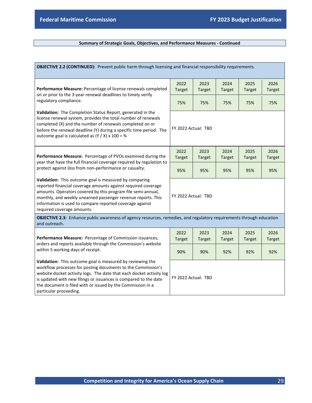#### **Summary of Strategic Goals, Objectives, and Performance Measures - Continued**

| OBJECTIVE 2.2 (CONTINUED): Prevent public harm through licensing and financial responsibility requirements.                                                                                                                                                                                                                                                     |                       |                       |                       |                       |                       |
|-----------------------------------------------------------------------------------------------------------------------------------------------------------------------------------------------------------------------------------------------------------------------------------------------------------------------------------------------------------------|-----------------------|-----------------------|-----------------------|-----------------------|-----------------------|
|                                                                                                                                                                                                                                                                                                                                                                 | 2022                  | 2023                  | 2024                  | 2025                  | 2026                  |
| Performance Measure: Percentage of license renewals completed<br>on or prior to the 3-year renewal deadlines to timely verify                                                                                                                                                                                                                                   | <b>Target</b>         | <b>Target</b>         | <b>Target</b>         | <b>Target</b>         | <b>Target</b>         |
| regulatory compliance.                                                                                                                                                                                                                                                                                                                                          | 75%                   | 75%                   | 75%                   | 75%                   | 75%                   |
| Validation: The Completion Status Report, generated in the<br>license renewal system, provides the total number of renewals<br>completed (X) and the number of renewals completed on or<br>before the renewal deadline (Y) during a specific time period. The<br>outcome goal is calculated as $(Y / X)$ x 100 = %                                              | FY 2022 Actual: TBD   |                       |                       |                       |                       |
| Performance Measure: Percentage of PVOs examined during the<br>year that have the full financial coverage required by regulation to<br>protect against loss from non-performance or casualty.                                                                                                                                                                   | 2022<br><b>Target</b> | 2023<br><b>Target</b> | 2024<br><b>Target</b> | 2025<br><b>Target</b> | 2026<br><b>Target</b> |
|                                                                                                                                                                                                                                                                                                                                                                 | 95%                   | 95%                   | 95%                   | 95%                   | 95%                   |
| Validation: This outcome goal is measured by comparing<br>reported financial coverage amounts against required coverage<br>amounts. Operators covered by this program file semi-annual,<br>monthly, and weekly unearned passenger revenue reports. This<br>information is used to compare reported coverage against<br>required coverage amounts.               | FY 2022 Actual: TBD   |                       |                       |                       |                       |
| OBJECTIVE 2.3: Enhance public awareness of agency resources, remedies, and regulatory requirements through education<br>and outreach.                                                                                                                                                                                                                           |                       |                       |                       |                       |                       |
| Performance Measure: Percentage of Commission issuances,                                                                                                                                                                                                                                                                                                        | 2022<br><b>Target</b> | 2023<br><b>Target</b> | 2024<br><b>Target</b> | 2025<br><b>Target</b> | 2026<br><b>Target</b> |
| orders and reports available through the Commission's website<br>within 5 working days of receipt.                                                                                                                                                                                                                                                              | 90%                   | 90%                   | 92%                   | 92%                   | 92%                   |
| Validation: This outcome goal is measured by reviewing the<br>workflow processes for posting documents to the Commission's<br>website docket activity logs. The date that each docket activity log<br>is updated with new filings or issuances is compared to the date<br>the document is filed with or issued by the Commission in a<br>particular proceeding. | FY 2022 Actual: TBD   |                       |                       |                       |                       |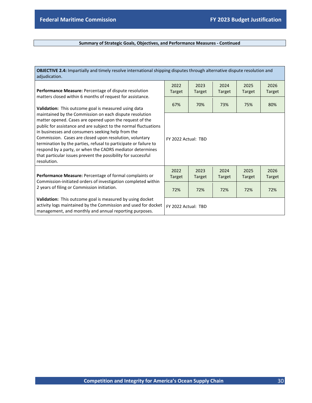#### **Summary of Strategic Goals, Objectives, and Performance Measures - Continued**

| OBJECTIVE 2.4: Impartially and timely resolve international shipping disputes through alternative dispute resolution and<br>adjudication.                                                                                                                                                                                                                                                                                                                                                                               |                       |                       |                       |                       |                       |
|-------------------------------------------------------------------------------------------------------------------------------------------------------------------------------------------------------------------------------------------------------------------------------------------------------------------------------------------------------------------------------------------------------------------------------------------------------------------------------------------------------------------------|-----------------------|-----------------------|-----------------------|-----------------------|-----------------------|
| <b>Performance Measure:</b> Percentage of dispute resolution<br>matters closed within 6 months of request for assistance.<br>Validation: This outcome goal is measured using data                                                                                                                                                                                                                                                                                                                                       | 2022<br><b>Target</b> | 2023<br><b>Target</b> | 2024<br><b>Target</b> | 2025<br><b>Target</b> | 2026<br><b>Target</b> |
|                                                                                                                                                                                                                                                                                                                                                                                                                                                                                                                         | 67%                   | 70%                   | 73%                   | 75%                   | 80%                   |
| maintained by the Commission on each dispute resolution<br>matter opened. Cases are opened upon the request of the<br>public for assistance and are subject to the normal fluctuations<br>in businesses and consumers seeking help from the<br>Commission. Cases are closed upon resolution, voluntary<br>termination by the parties, refusal to participate or failure to<br>respond by a party, or when the CADRS mediator determines<br>that particular issues prevent the possibility for successful<br>resolution. | FY 2022 Actual: TBD   |                       |                       |                       |                       |
| <b>Performance Measure:</b> Percentage of formal complaints or                                                                                                                                                                                                                                                                                                                                                                                                                                                          | 2022<br><b>Target</b> | 2023<br><b>Target</b> | 2024<br><b>Target</b> | 2025<br><b>Target</b> | 2026<br><b>Target</b> |
| Commission-initiated orders of investigation completed within<br>2 years of filing or Commission initiation.                                                                                                                                                                                                                                                                                                                                                                                                            | 72%                   | 72%                   | 72%                   | 72%                   | 72%                   |
| Validation: This outcome goal is measured by using docket<br>activity logs maintained by the Commission and used for docket<br>management, and monthly and annual reporting purposes.                                                                                                                                                                                                                                                                                                                                   | FY 2022 Actual: TBD   |                       |                       |                       |                       |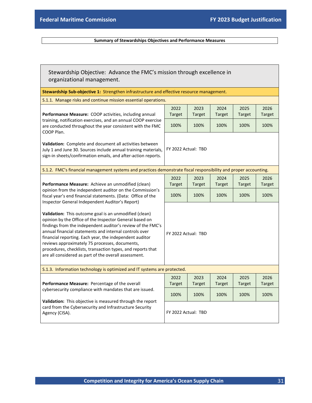#### **Summary of Stewardships Objectives and Performance Measures**

| Stewardship Objective: Advance the FMC's mission through excellence in<br>organizational management.                                                                                                                                                                                                                                                                                                                                                                            |                       |                       |                       |                       |                       |  |
|---------------------------------------------------------------------------------------------------------------------------------------------------------------------------------------------------------------------------------------------------------------------------------------------------------------------------------------------------------------------------------------------------------------------------------------------------------------------------------|-----------------------|-----------------------|-----------------------|-----------------------|-----------------------|--|
| Stewardship Sub-objective 1: Strengthen infrastructure and effective resource management.                                                                                                                                                                                                                                                                                                                                                                                       |                       |                       |                       |                       |                       |  |
| S.1.1. Manage risks and continue mission essential operations.                                                                                                                                                                                                                                                                                                                                                                                                                  |                       |                       |                       |                       |                       |  |
| Performance Measure: COOP activities, including annual                                                                                                                                                                                                                                                                                                                                                                                                                          | 2022<br><b>Target</b> | 2023<br><b>Target</b> | 2024<br><b>Target</b> | 2025<br><b>Target</b> | 2026<br>Target        |  |
| training, notification exercises, and an annual COOP exercise<br>are conducted throughout the year consistent with the FMC<br>COOP Plan.                                                                                                                                                                                                                                                                                                                                        | 100%                  | 100%                  | 100%                  | 100%                  | 100%                  |  |
| Validation: Complete and document all activities between<br>July 1 and June 30. Sources include annual training materials,<br>sign-in sheets/confirmation emails, and after-action reports.                                                                                                                                                                                                                                                                                     | FY 2022 Actual: TBD   |                       |                       |                       |                       |  |
| S.1.2. FMC's financial management systems and practices demonstrate fiscal responsibility and proper accounting.                                                                                                                                                                                                                                                                                                                                                                |                       |                       |                       |                       |                       |  |
| Performance Measure: Achieve an unmodified (clean)<br>opinion from the independent auditor on the Commission's<br>fiscal year's end financial statements. (Data: Office of the<br>Inspector General Independent Auditor's Report)                                                                                                                                                                                                                                               | 2022                  | 2023                  | 2024                  | 2025                  | 2026                  |  |
|                                                                                                                                                                                                                                                                                                                                                                                                                                                                                 | <b>Target</b>         | Target                | <b>Target</b>         | <b>Target</b>         | Target                |  |
|                                                                                                                                                                                                                                                                                                                                                                                                                                                                                 | 100%                  | 100%                  | 100%                  | 100%                  | 100%                  |  |
| Validation: This outcome goal is an unmodified (clean)<br>opinion by the Office of the Inspector General based on<br>findings from the independent auditor's review of the FMC's<br>annual financial statements and internal controls over<br>financial reporting. Each year, the independent auditor<br>reviews approximately 75 processes, documents,<br>procedures, checklists, transaction types, and reports that<br>are all considered as part of the overall assessment. | FY 2022 Actual: TBD   |                       |                       |                       |                       |  |
| S.1.3. Information technology is optimized and IT systems are protected.                                                                                                                                                                                                                                                                                                                                                                                                        |                       |                       |                       |                       |                       |  |
| Performance Measure: Percentage of the overall                                                                                                                                                                                                                                                                                                                                                                                                                                  | 2022<br><b>Target</b> | 2023<br>Target        | 2024<br><b>Target</b> | 2025<br><b>Target</b> | 2026<br><b>Target</b> |  |
| cybersecurity compliance with mandates that are issued.<br>Validation: This objective is measured through the report                                                                                                                                                                                                                                                                                                                                                            | 100%                  | 100%                  | 100%                  | 100%                  | 100%                  |  |
| card from the Cybersecurity and Infrastructure Security<br>Agency (CISA).                                                                                                                                                                                                                                                                                                                                                                                                       | FY 2022 Actual: TBD   |                       |                       |                       |                       |  |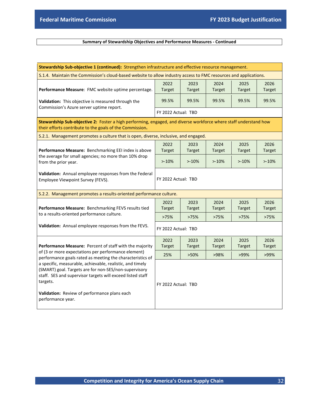#### **Summary of Stewardship Objectives and Performance Measures - Continued**

| Stewardship Sub-objective 1 (continued): Strengthen infrastructure and effective resource management.                                                                                                                                                             |                       |                       |                       |                       |                       |  |  |  |
|-------------------------------------------------------------------------------------------------------------------------------------------------------------------------------------------------------------------------------------------------------------------|-----------------------|-----------------------|-----------------------|-----------------------|-----------------------|--|--|--|
| S.1.4. Maintain the Commission's cloud-based website to allow industry access to FMC resources and applications.                                                                                                                                                  |                       |                       |                       |                       |                       |  |  |  |
| Performance Measure: FMC website uptime percentage.                                                                                                                                                                                                               | 2022<br><b>Target</b> | 2023<br><b>Target</b> | 2024<br>Target        | 2025<br><b>Target</b> | 2026<br><b>Target</b> |  |  |  |
| Validation: This objective is measured through the<br>Commission's Azure server uptime report.                                                                                                                                                                    | 99.5%                 | 99.5%                 | 99.5%                 | 99.5%                 | 99.5%                 |  |  |  |
|                                                                                                                                                                                                                                                                   | FY 2022 Actual: TBD   |                       |                       |                       |                       |  |  |  |
| Stewardship Sub-objective 2: Foster a high performing, engaged, and diverse workforce where staff understand how<br>their efforts contribute to the goals of the Commission.                                                                                      |                       |                       |                       |                       |                       |  |  |  |
| S.2.1. Management promotes a culture that is open, diverse, inclusive, and engaged.                                                                                                                                                                               |                       |                       |                       |                       |                       |  |  |  |
| Performance Measure: Benchmarking EEI index is above<br>the average for small agencies; no more than 10% drop<br>from the prior year.                                                                                                                             | 2022<br>Target        | 2023<br><b>Target</b> | 2024<br><b>Target</b> | 2025<br><b>Target</b> | 2026<br><b>Target</b> |  |  |  |
|                                                                                                                                                                                                                                                                   | $>10\%$               | $> -10%$              | $>10\%$               | $>10\%$               | $> -10%$              |  |  |  |
| Validation: Annual employee responses from the Federal<br>Employee Viewpoint Survey (FEVS).                                                                                                                                                                       | FY 2022 Actual: TBD   |                       |                       |                       |                       |  |  |  |
| S.2.2. Management promotes a results-oriented performance culture.                                                                                                                                                                                                |                       |                       |                       |                       |                       |  |  |  |
| Performance Measure: Benchmarking FEVS results tied                                                                                                                                                                                                               | 2022<br><b>Target</b> | 2023<br>Target        | 2024<br><b>Target</b> | 2025<br><b>Target</b> | 2026<br><b>Target</b> |  |  |  |
| to a results-oriented performance culture.                                                                                                                                                                                                                        | >75%                  | >75%                  | >75%                  | >75%                  | >75%                  |  |  |  |
| Validation: Annual employee responses from the FEVS.                                                                                                                                                                                                              | FY 2022 Actual: TBD   |                       |                       |                       |                       |  |  |  |
| Performance Measure: Percent of staff with the majority                                                                                                                                                                                                           | 2022<br>Target        | 2023<br><b>Target</b> | 2024<br><b>Target</b> | 2025<br><b>Target</b> | 2026<br><b>Target</b> |  |  |  |
| of (3 or more expectations per performance element)<br>performance goals rated as meeting the characteristics of                                                                                                                                                  | 25%                   | >50%                  | >98%                  | >99%                  | >99%                  |  |  |  |
| a specific, measurable, achievable, realistic, and timely<br>(SMART) goal. Targets are for non-SES/non-supervisory<br>staff. SES and supervisor targets will exceed listed staff<br>targets.<br>Validation: Review of performance plans each<br>performance year. | FY 2022 Actual: TBD   |                       |                       |                       |                       |  |  |  |